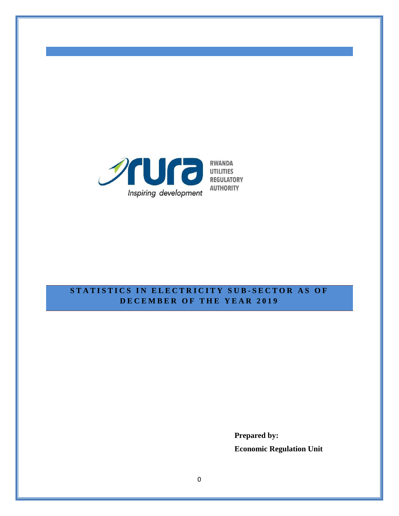

## **STATISTICS IN ELECTRICITY SUB-SECTOR AS OF D E C E M B E R O F T H E Y E A R 2 0 1 9**

**Prepared by: Economic Regulation Unit**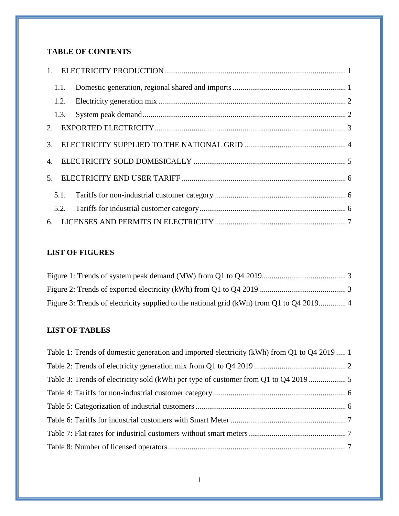# **TABLE OF CONTENTS**

| 2 <sup>1</sup> |  |  |
|----------------|--|--|
| 3.             |  |  |
| $\mathbf{4}$ . |  |  |
| 5.             |  |  |
|                |  |  |
|                |  |  |
|                |  |  |

# **LIST OF FIGURES**

| Figure 3: Trends of electricity supplied to the national grid (kWh) from Q1 to Q4 2019 4 |  |
|------------------------------------------------------------------------------------------|--|

## **LIST OF TABLES**

| Table 1: Trends of domestic generation and imported electricity (kWh) from Q1 to Q4 2019  1 |  |
|---------------------------------------------------------------------------------------------|--|
|                                                                                             |  |
| Table 3: Trends of electricity sold (kWh) per type of customer from Q1 to Q4 2019           |  |
|                                                                                             |  |
|                                                                                             |  |
|                                                                                             |  |
|                                                                                             |  |
|                                                                                             |  |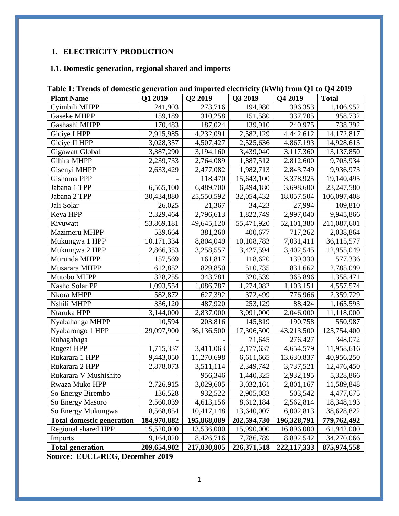# <span id="page-3-0"></span>**1. ELECTRICITY PRODUCTION**

## <span id="page-3-1"></span>**1.1. Domestic generation, regional shared and imports**

| Table 1. Trends of domestic generation and imported electricity (KWH) from QT to Q+2012 |             |             |               |               |              |
|-----------------------------------------------------------------------------------------|-------------|-------------|---------------|---------------|--------------|
| <b>Plant Name</b>                                                                       | Q1 2019     | Q2 2019     | Q3 2019       | Q4 2019       | <b>Total</b> |
| Cyimbili MHPP                                                                           | 241,903     | 273,716     | 194,980       | 396,353       | 1,106,952    |
| <b>Gaseke MHPP</b>                                                                      | 159,189     | 310,258     | 151,580       | 337,705       | 958,732      |
| Gashashi MHPP                                                                           | 170,483     | 187,024     | 139,910       | 240,975       | 738,392      |
| Giciye I HPP                                                                            | 2,915,985   | 4,232,091   | 2,582,129     | 4,442,612     | 14,172,817   |
| Giciye II HPP                                                                           | 3,028,357   | 4,507,427   | 2,525,636     | 4,867,193     | 14,928,613   |
| Gigawatt Global                                                                         | 3,387,290   | 3,194,160   | 3,439,040     | 3,117,360     | 13,137,850   |
| Gihira MHPP                                                                             | 2,239,733   | 2,764,089   | 1,887,512     | 2,812,600     | 9,703,934    |
| Gisenyi MHPP                                                                            | 2,633,429   | 2,477,082   | 1,982,713     | 2,843,749     | 9,936,973    |
| Gishoma PPP                                                                             |             | 118,470     | 15,643,100    | 3,378,925     | 19,140,495   |
| Jabana 1 TPP                                                                            | 6,565,100   | 6,489,700   | 6,494,180     | 3,698,600     | 23,247,580   |
| Jabana 2 TPP                                                                            | 30,434,880  | 25,550,592  | 32,054,432    | 18,057,504    | 106,097,408  |
| Jali Solar                                                                              | 26,025      | 21,367      | 34,423        | 27,994        | 109,810      |
| Keya HPP                                                                                | 2,329,464   | 2,796,613   | 1,822,749     | 2,997,040     | 9,945,866    |
| Kivuwatt                                                                                | 53,869,181  | 49,645,120  | 55,471,920    | 52,101,380    | 211,087,601  |
| Mazimeru MHPP                                                                           | 539,664     | 381,260     | 400,677       | 717,262       | 2,038,864    |
| Mukungwa 1 HPP                                                                          | 10,171,334  | 8,804,049   | 10,108,783    | 7,031,411     | 36,115,577   |
| Mukungwa 2 HPP                                                                          | 2,866,353   | 3,258,557   | 3,427,594     | 3,402,545     | 12,955,049   |
| Murunda MHPP                                                                            | 157,569     | 161,817     | 118,620       | 139,330       | 577,336      |
| Musarara MHPP                                                                           | 612,852     | 829,850     | 510,735       | 831,662       | 2,785,099    |
| Mutobo MHPP                                                                             | 328,255     | 343,781     | 320,539       | 365,896       | 1,358,471    |
| Nasho Solar PP                                                                          | 1,093,554   | 1,086,787   | 1,274,082     | 1,103,151     | 4,557,574    |
| Nkora MHPP                                                                              | 582,872     | 627,392     | 372,499       | 776,966       | 2,359,729    |
| Nshili MHPP                                                                             | 336,120     | 487,920     | 253,129       | 88,424        | 1,165,593    |
| Ntaruka HPP                                                                             | 3,144,000   | 2,837,000   | 3,091,000     | 2,046,000     | 11,118,000   |
| Nyabahanga MHPP                                                                         | 10,594      | 203,816     | 145,819       | 190,758       | 550,987      |
| Nyabarongo 1 HPP                                                                        | 29,097,900  | 36,136,500  | 17,306,500    | 43,213,500    | 125,754,400  |
| Rubagabaga                                                                              |             |             | 71,645        | 276,427       | 348,072      |
| Rugezi HPP                                                                              | 1,715,337   | 3,411,063   | 2,177,637     | 4,654,579     | 11,958,616   |
| Rukarara 1 HPP                                                                          | 9,443,050   | 11,270,698  | 6,611,665     | 13,630,837    | 40,956,250   |
| Rukarara 2 HPP                                                                          | 2,878,073   | 3,511,114   | 2,349,742     | 3,737,521     | 12,476,450   |
| Rukarara V Mushishito                                                                   |             | 956,346     | 1,440,325     | 2,932,195     | 5,328,866    |
| Rwaza Muko HPP                                                                          | 2,726,915   | 3,029,605   | 3,032,161     | 2,801,167     | 11,589,848   |
| So Energy Birembo                                                                       | 136,528     | 932,522     | 2,905,083     | 503,542       | 4,477,675    |
| So Energy Masoro                                                                        | 2,560,039   | 4,613,156   | 8,612,184     | 2,562,814     | 18,348,193   |
| So Energy Mukungwa                                                                      | 8,568,854   | 10,417,148  | 13,640,007    | 6,002,813     | 38,628,822   |
| <b>Total domestic generation</b>                                                        | 184,970,882 | 195,868,089 | 202,594,730   | 196,328,791   | 779,762,492  |
| Regional shared HPP                                                                     | 15,520,000  | 13,536,000  | 15,990,000    | 16,896,000    | 61,942,000   |
| <b>Imports</b>                                                                          | 9,164,020   | 8,426,716   | 7,786,789     | 8,892,542     | 34,270,066   |
| <b>Total generation</b>                                                                 | 209,654,902 | 217,830,805 | 226, 371, 518 | 222, 117, 333 | 875,974,558  |

<span id="page-3-2"></span>

**Source: EUCL-REG, December 2019**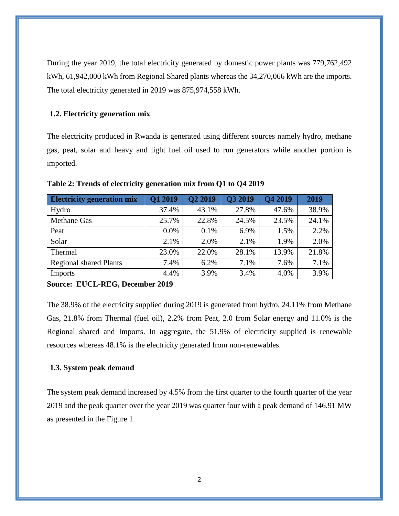During the year 2019, the total electricity generated by domestic power plants was 779,762,492 kWh, 61,942,000 kWh from Regional Shared plants whereas the 34,270,066 kWh are the imports. The total electricity generated in 2019 was 875,974,558 kWh.

#### <span id="page-4-0"></span>**1.2. Electricity generation mix**

The electricity produced in Rwanda is generated using different sources namely hydro, methane gas, peat, solar and heavy and light fuel oil used to run generators while another portion is imported.

| <b>Electricity generation mix</b> | Q1 2019 | Q2 2019 | Q3 2019 | Q4 2019 | 2019  |
|-----------------------------------|---------|---------|---------|---------|-------|
| Hydro                             | 37.4%   | 43.1%   | 27.8%   | 47.6%   | 38.9% |
| <b>Methane Gas</b>                | 25.7%   | 22.8%   | 24.5%   | 23.5%   | 24.1% |
| Peat                              | 0.0%    | 0.1%    | 6.9%    | 1.5%    | 2.2%  |
| Solar                             | 2.1%    | 2.0%    | 2.1%    | 1.9%    | 2.0%  |
| Thermal                           | 23.0%   | 22.0%   | 28.1%   | 13.9%   | 21.8% |
| <b>Regional shared Plants</b>     | 7.4%    | 6.2%    | 7.1%    | 7.6%    | 7.1%  |
| Imports                           | 4.4%    | 3.9%    | 3.4%    | 4.0%    | 3.9%  |

<span id="page-4-2"></span>**Table 2: Trends of electricity generation mix from Q1 to Q4 2019**

#### **Source: EUCL-REG, December 2019**

The 38.9% of the electricity supplied during 2019 is generated from hydro, 24.11% from Methane Gas, 21.8% from Thermal (fuel oil), 2.2% from Peat, 2.0 from Solar energy and 11.0% is the Regional shared and Imports. In aggregate, the 51.9% of electricity supplied is renewable resources whereas 48.1% is the electricity generated from non-renewables.

#### <span id="page-4-1"></span>**1.3. System peak demand**

The system peak demand increased by 4.5% from the first quarter to the fourth quarter of the year 2019 and the peak quarter over the year 2019 was quarter four with a peak demand of 146.91 MW as presented in the Figure 1.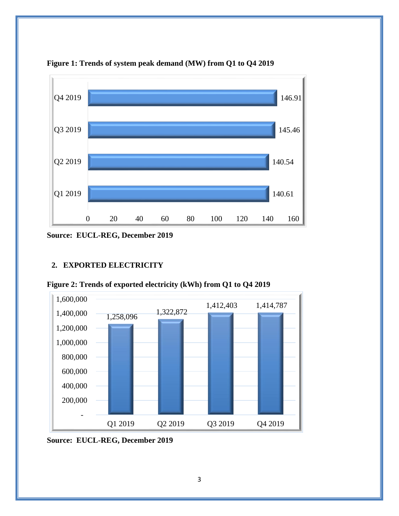

<span id="page-5-1"></span>**Figure 1: Trends of system peak demand (MW) from Q1 to Q4 2019**

**Source: EUCL-REG, December 2019**

### <span id="page-5-0"></span>**2. EXPORTED ELECTRICITY**



<span id="page-5-2"></span>**Figure 2: Trends of exported electricity (kWh) from Q1 to Q4 2019**

**Source: EUCL-REG, December 2019**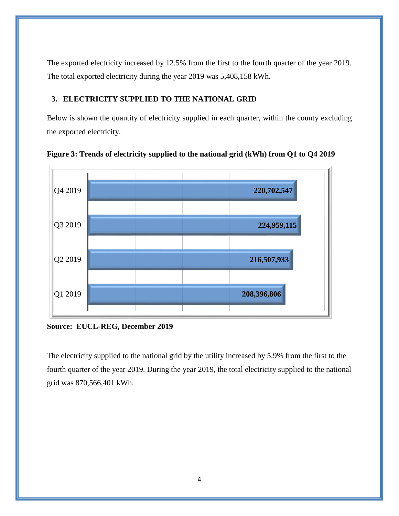The exported electricity increased by 12.5% from the first to the fourth quarter of the year 2019. The total exported electricity during the year 2019 was 5,408,158 kWh.

### <span id="page-6-0"></span>**3. ELECTRICITY SUPPLIED TO THE NATIONAL GRID**

Below is shown the quantity of electricity supplied in each quarter, within the county excluding the exported electricity.



<span id="page-6-1"></span>**Figure 3: Trends of electricity supplied to the national grid (kWh) from Q1 to Q4 2019**

**Source: EUCL-REG, December 2019**

The electricity supplied to the national grid by the utility increased by 5.9% from the first to the fourth quarter of the year 2019. During the year 2019, the total electricity supplied to the national grid was 870,566,401 kWh.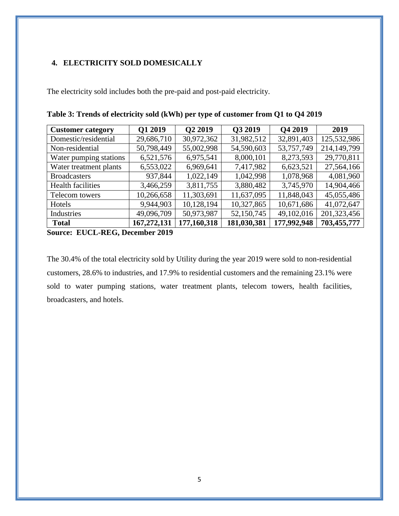## <span id="page-7-0"></span>**4. ELECTRICITY SOLD DOMESICALLY**

The electricity sold includes both the pre-paid and post-paid electricity.

| <b>Customer category</b>               | Q1 2019                                                      | Q2 2019     | Q3 2019     | <b>Q4 2019</b> | 2019        |
|----------------------------------------|--------------------------------------------------------------|-------------|-------------|----------------|-------------|
| Domestic/residential                   | 29,686,710                                                   | 30,972,362  | 31,982,512  | 32,891,403     | 125,532,986 |
| Non-residential                        | 50,798,449                                                   | 55,002,998  | 54,590,603  | 53,757,749     | 214,149,799 |
| Water pumping stations                 | 6,521,576                                                    | 6,975,541   | 8,000,101   | 8,273,593      | 29,770,811  |
| Water treatment plants                 | 6,553,022                                                    | 6,969,641   | 7,417,982   | 6,623,521      | 27,564,166  |
| <b>Broadcasters</b>                    | 937,844                                                      | 1,022,149   | 1,042,998   | 1,078,968      | 4,081,960   |
| <b>Health facilities</b>               | 3,466,259                                                    | 3,811,755   | 3,880,482   | 3,745,970      | 14,904,466  |
| Telecom towers                         | 10,266,658                                                   | 11,303,691  | 11,637,095  | 11,848,043     | 45,055,486  |
| Hotels                                 | 9,944,903                                                    | 10,128,194  | 10,327,865  | 10,671,686     | 41,072,647  |
| Industries                             | 49,096,709                                                   | 50,973,987  | 52,150,745  | 49,102,016     | 201,323,456 |
| <b>Total</b><br>$\sim$<br><b>DIZAL</b> | 167,272,131<br>$\mathbf{A} \mathbf{A} \mathbf{A} \mathbf{A}$ | 177,160,318 | 181,030,381 | 177,992,948    | 703,455,777 |

<span id="page-7-1"></span>**Table 3: Trends of electricity sold (kWh) per type of customer from Q1 to Q4 2019**

**Source: EUCL-REG, December 2019**

The 30.4% of the total electricity sold by Utility during the year 2019 were sold to non-residential customers, 28.6% to industries, and 17.9% to residential customers and the remaining 23.1% were sold to water pumping stations, water treatment plants, telecom towers, health facilities, broadcasters, and hotels.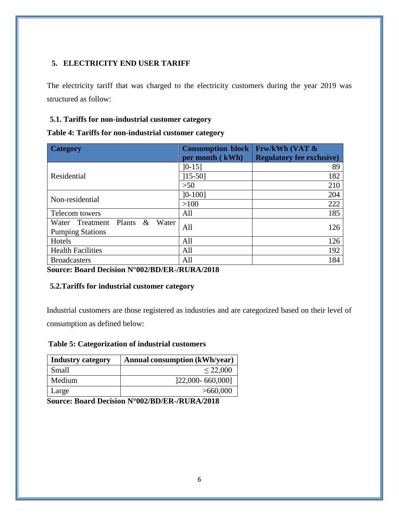## <span id="page-8-0"></span>**5. ELECTRICITY END USER TARIFF**

The electricity tariff that was charged to the electricity customers during the year 2019 was structured as follow:

## <span id="page-8-1"></span>**5.1. Tariffs for non-industrial customer category**

<span id="page-8-3"></span>

| Table 4: Tariffs for non-industrial customer category |
|-------------------------------------------------------|
|-------------------------------------------------------|

| <b>Category</b>                                              | <b>Consumption block</b><br>per month (kWh) | <b>Frw/kWh (VAT &amp;</b><br><b>Regulatory fee exclusive)</b> |
|--------------------------------------------------------------|---------------------------------------------|---------------------------------------------------------------|
| Residential                                                  | $]0-15]$<br>$[15-50]$                       | 89<br>182                                                     |
|                                                              | $>50$                                       | 210                                                           |
| Non-residential                                              | $]0-100]$                                   | 204                                                           |
|                                                              | >100                                        | 222                                                           |
| Telecom towers                                               | All                                         | 185                                                           |
| Water Treatment Plants<br>& Water<br><b>Pumping Stations</b> | All                                         | 126                                                           |
| Hotels                                                       | All                                         | 126                                                           |
| <b>Health Facilities</b>                                     | All                                         | 192                                                           |
| <b>Broadcasters</b>                                          | All                                         | 184                                                           |

**Source: Board Decision N°002/BD/ER-/RURA/2018**

### <span id="page-8-2"></span>**5.2.Tariffs for industrial customer category**

Industrial customers are those registered as industries and are categorized based on their level of consumption as defined below:

### <span id="page-8-4"></span>**Table 5: Categorization of industrial customers**

| <b>Industry category</b> | <b>Annual consumption (kWh/year)</b> |
|--------------------------|--------------------------------------|
| Small                    | $\leq$ 22,000                        |
| Medium                   | 122,000-660,0001                     |
| Large                    | >660,000                             |

**Source: Board Decision N°002/BD/ER-/RURA/2018**